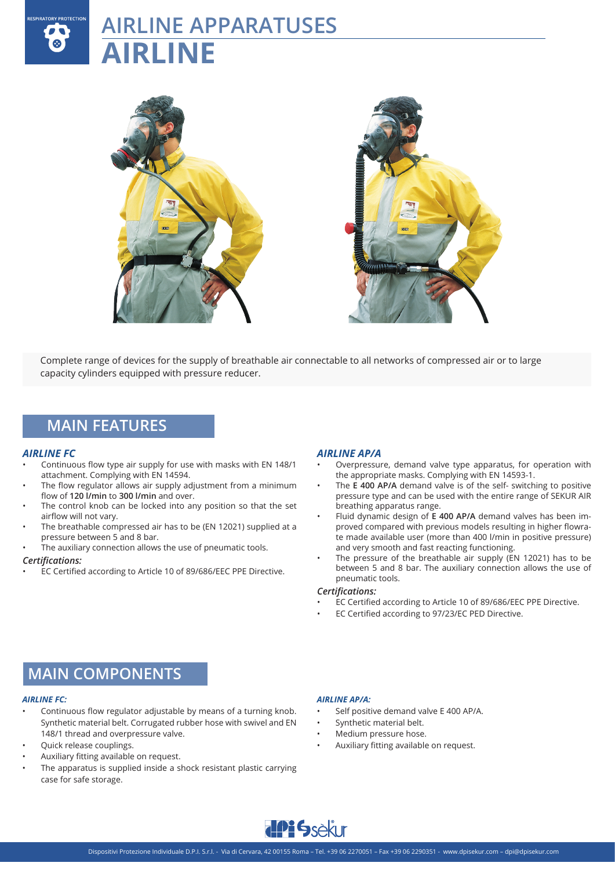# **AIRLINE APPARATUSES AIRLINE**



Complete range of devices for the supply of breathable air connectable to all networks of compressed air or to large capacity cylinders equipped with pressure reducer.

### **MAIN FEATURES**

### *AIRLINE FC*

**RESPIRATORY PROTECTION** 

- Continuous flow type air supply for use with masks with EN 148/1 attachment. Complying with EN 14594.
- The flow regulator allows air supply adjustment from a minimum flow of **120 l/min** to **300 l/min** and over.
- The control knob can be locked into any position so that the set airflow will not vary.
- The breathable compressed air has to be (EN 12021) supplied at a pressure between 5 and 8 bar.
- The auxiliary connection allows the use of pneumatic tools.

### *Certifications:*

• EC Certified according to Article 10 of 89/686/EEC PPE Directive.

### *AIRLINE AP/A*

- Overpressure, demand valve type apparatus, for operation with the appropriate masks. Complying with EN 14593-1.
- The **E 400 AP/A** demand valve is of the self- switching to positive pressure type and can be used with the entire range of SEKUR AIR breathing apparatus range.
- Fluid dynamic design of **E 400 AP/A** demand valves has been improved compared with previous models resulting in higher flowrate made available user (more than 400 l/min in positive pressure) and very smooth and fast reacting functioning.
- The pressure of the breathable air supply  $(\bar{E}N$  12021) has to be between 5 and 8 bar. The auxiliary connection allows the use of pneumatic tools.

### *Certifications:*

- EC Certified according to Article 10 of 89/686/EEC PPE Directive.
- EC Certified according to 97/23/EC PED Directive.

### **MAIN COMPONENTS**

### *AIRLINE FC:*

- Continuous flow regulator adjustable by means of a turning knob. Synthetic material belt. Corrugated rubber hose with swivel and EN 148/1 thread and overpressure valve.
- Quick release couplings.
- Auxiliary fitting available on request.
- The apparatus is supplied inside a shock resistant plastic carrying case for safe storage.

### *AIRLINE AP/A:*

- Self positive demand valve E 400 AP/A.
- Synthetic material belt.
- Medium pressure hose.
- Auxiliary fitting available on request.